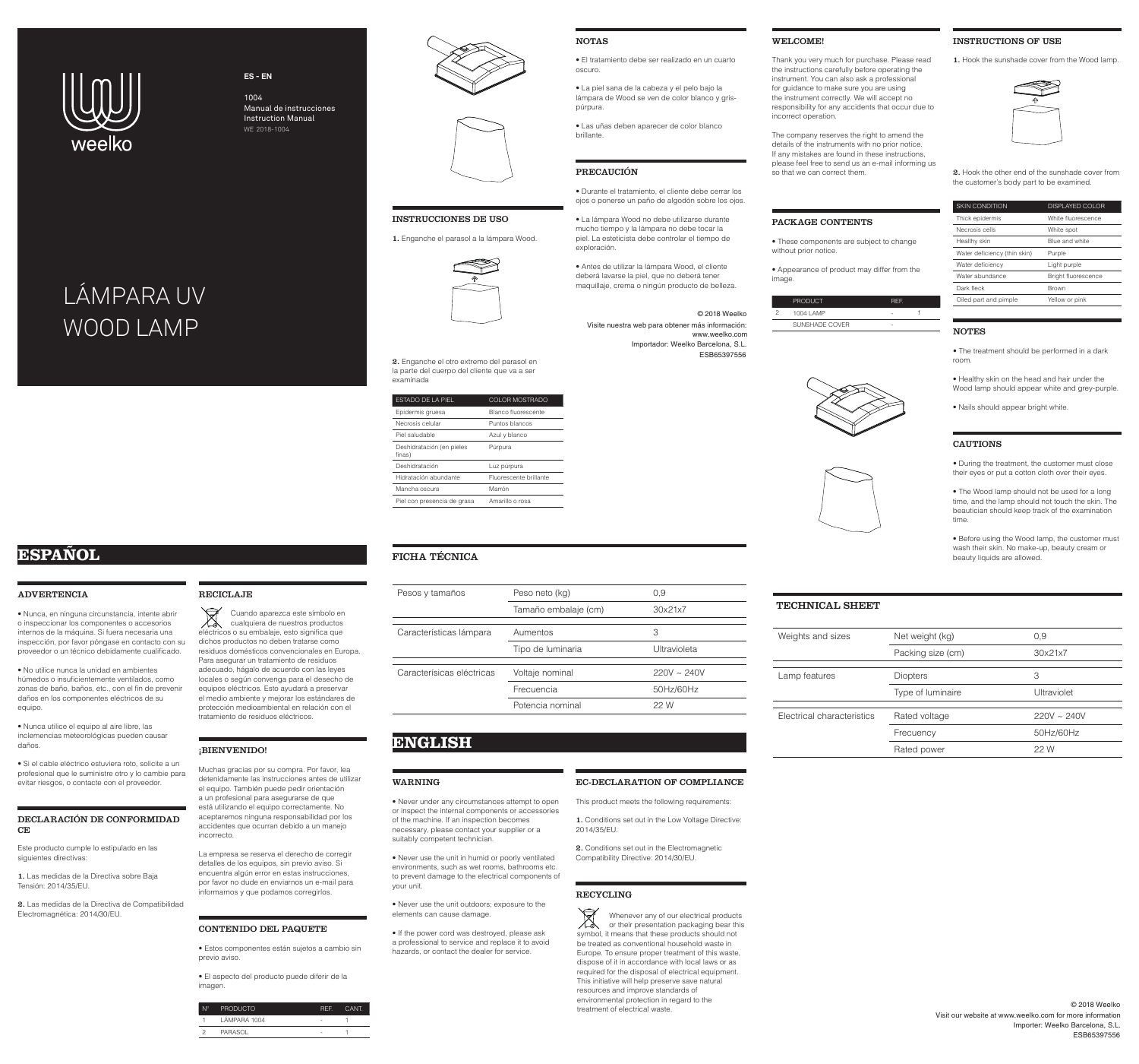### TECHNICAL SHEET

| Weights and sizes          | Net weight (kg)   | 0,9              |
|----------------------------|-------------------|------------------|
|                            | Packing size (cm) | 30x21x7          |
|                            |                   |                  |
| Lamp features              | <b>Diopters</b>   | З                |
|                            | Type of luminaire | Ultraviolet      |
|                            |                   |                  |
| Electrical characteristics | Rated voltage     | $220V \sim 240V$ |
|                            | Frecuency         | 50Hz/60Hz        |
|                            | Rated power       | 22 W             |
|                            |                   |                  |

#### ADVERTENCIA

• Nunca, en ninguna circunstancia, intente abrir o inspeccionar los componentes o accesorios internos de la máquina. Si fuera necesaria una inspección, por favor póngase en contacto con su proveedor o un técnico debidamente cualificado.

1. Las medidas de la Directiva sobre Baja Tensión: 2014/35/EU.

• No utilice nunca la unidad en ambientes húmedos o insuficientemente ventilados, como zonas de baño, baños, etc., con el fin de prevenir daños en los componentes eléctricos de su equipo.

• Nunca utilice el equipo al aire libre, las inclemencias meteorológicas pueden causar daños.

• Si el cable eléctrico estuviera roto, solicite a un profesional que le suministre otro y lo cambie para evitar riesgos, o contacte con el proveedor.

#### DECLARACIÓN DE CONFORMIDAD CE

Este producto cumple lo estipulado en las siguientes directivas:

2. Las medidas de la Directiva de Compatibilidad Electromagnética: 2014/30/EU.

#### RECICLAJE

### ¡BIENVENIDO!

Muchas gracias por su compra. Por favor, lea detenidamente las instrucciones antes de utilizar el equipo. También puede pedir orientación a un profesional para asegurarse de que está utilizando el equipo correctamente. No aceptaremos ninguna responsabilidad por los accidentes que ocurran debido a un manejo incorrecto.

La empresa se reserva el derecho de corregir detalles de los equipos, sin previo aviso. Si encuentra algún error en estas instrucciones, por favor no dude en enviarnos un e-mail para informarnos y que podamos corregirlos.

#### CONTENIDO DEL PAQUETE

• Estos componentes están sujetos a cambio sin previo aviso.

• El aspecto del producto puede diferir de la imagen.

| $N^{\circ}$ | <b>PRODUCTO</b> | REF. | CANT. |
|-------------|-----------------|------|-------|
|             | LÁMPARA 1004    |      |       |
| - 2         | PARASOL         |      |       |
|             |                 |      |       |

#### INSTRUCCIONES DE USO

1. Enganche el parasol a la lámpara Wood.



2. Enganche el otro extremo del parasol en la parte del cuerpo del cliente que va a ser examinada

| <b>ESTADO DE LA PIEL</b>            | COLOR MOSTRADO         |
|-------------------------------------|------------------------|
| Epidermis gruesa                    | Blanco fluorescente    |
| Necrosis celular                    | Puntos blancos         |
| Piel saludable                      | Azul y blanco          |
| Deshidratación (en pieles<br>finas) | Púrpura                |
| Deshidratación                      | Luz púrpura            |
| Hidratación abundante               | Fluorescente brillante |
| Mancha oscura                       | Marrón                 |
| Piel con presencia de grasa         | Amarillo o rosa        |
|                                     |                        |

#### NOTAS

• El tratamiento debe ser realizado en un cuarto oscuro.

• La piel sana de la cabeza y el pelo bajo la lámpara de Wood se ven de color blanco y grispúrpura.

• Las uñas deben aparecer de color blanco brillante.

#### PRECAUCIÓN

• Durante el tratamiento, el cliente debe cerrar los ojos o ponerse un paño de algodón sobre los ojos.

• Before using the Wood lamp, the customer must wash their skin. No make-up, beauty cream or FICHA TÉCNICA **beauty liquids** are allowed.

• La lámpara Wood no debe utilizarse durante mucho tiempo y la lámpara no debe tocar la piel. La esteticista debe controlar el tiempo de exploración.

• Antes de utilizar la lámpara Wood, el cliente deberá lavarse la piel, que no deberá tener maquillaje, crema o ningún producto de belleza.

#### WARNING

• Never under any circumstances attempt to open or inspect the internal components or accessories of the machine. If an inspection becomes necessary, please contact your supplier or a suitably competent technician.

Cuando aparezca este símbolo en<br>cualquiera de nuestros productos cualquiera de nuestros productos eléctricos o su embalaje, esto significa que dichos productos no deben tratarse como residuos domésticos convencionales en Europa. Para asegurar un tratamiento de residuos adecuado, hágalo de acuerdo con las leyes locales o según convenga para el desecho de equipos eléctricos. Esto ayudará a preservar el medio ambiente y mejorar los estándares de protección medioambiental en relación con el tratamiento de residuos eléctricos.

> • Never use the unit in humid or poorly ventilated environments, such as wet rooms, bathrooms etc. to prevent damage to the electrical components of your unit.

• Never use the unit outdoors; exposure to the elements can cause damage.

Whenever any of our electrical products<br>or their presentation packaging bear this or their presentation packaging bear this symbol, it means that these products should not be treated as conventional household waste in Europe. To ensure proper treatment of this waste, dispose of it in accordance with local laws or as required for the disposal of electrical equipment. This initiative will help preserve save natural resources and improve standards of environmental protection in regard to the treatment of electrical waste.

• If the power cord was destroyed, please ask a professional to service and replace it to avoid hazards, or contact the dealer for service.

#### EC-DECLARATION OF COMPLIANCE

This product meets the following requirements:

1. Conditions set out in the Low Voltage Directive: 2014/35/EU.

2. Conditions set out in the Electromagnetic Compatibility Directive: 2014/30/EU.

#### RECYCLING

#### WELCOME!

Thank you very much for purchase. Please read the instructions carefully before operating the instrument. You can also ask a professional for guidance to make sure you are using the instrument correctly. We will accept no responsibility for any accidents that occur due to incorrect operation.

The company reserves the right to amend the details of the instruments with no prior notice. If any mistakes are found in these instructions, please feel free to send us an e-mail informing us so that we can correct them.

#### PACKAGE CONTENTS

• These components are subject to change without prior notice.

• Appearance of product may differ from the

image.

| <b>PRODUCT</b> | REF. |  |
|----------------|------|--|
| 1004 LAMP      |      |  |
| SUNSHADE COVER | ۰    |  |
|                |      |  |





#### INSTRUCTIONS OF USE

1. Hook the sunshade cover from the Wood lamp.



2. Hook the other end of the sunshade cover from the customer's body part to be examined.

| <b>SKIN CONDITION</b>        | <b>DISPLAYED COLOR</b>     |
|------------------------------|----------------------------|
| Thick epidermis              | White fluorescence         |
| Necrosis cells               | White spot                 |
| Healthy skin                 | Blue and white             |
| Water deficiency (thin skin) | Purple                     |
| Water deficiency             | Light purple               |
| Water abundance              | <b>Bright fluorescence</b> |
| Dark fleck                   | <b>Brown</b>               |
| Oiled part and pimple        | Yellow or pink             |
|                              |                            |

#### NOTES

• The treatment should be performed in a dark room.

• Healthy skin on the head and hair under the Wood lamp should appear white and grey-purple.

• Nails should appear bright white.

#### CAUTIONS

• During the treatment, the customer must close their eyes or put a cotton cloth over their eyes.

• The Wood lamp should not be used for a long time, and the lamp should not touch the skin. The beautician should keep track of the examination time.

| Pesos y tamaños           | Peso neto (kg)       | 0.9                 |
|---------------------------|----------------------|---------------------|
|                           | Tamaño embalaje (cm) | 30x21x7             |
| Características lámpara   | Aumentos             | З                   |
|                           | Tipo de luminaria    | <b>Ultravioleta</b> |
| Caracterísicas eléctricas | Voltaje nominal      | $220V \sim 240V$    |
|                           | Frecuencia           | 50Hz/60Hz           |
|                           | Potencia nominal     | 22 W                |

#### 2 © 2018 Weelko

## **ENGLISH**

# **ESPAÑOL**



## **ES - EN**

# WOOD LAMP LÁMPARA UV

1004 Manual de instrucciones Instruction Manual WE 2018-1004





Visite nuestra web para obtener más información: www.weelko.com Importador: Weelko Barcelona, S.L. ESB65397556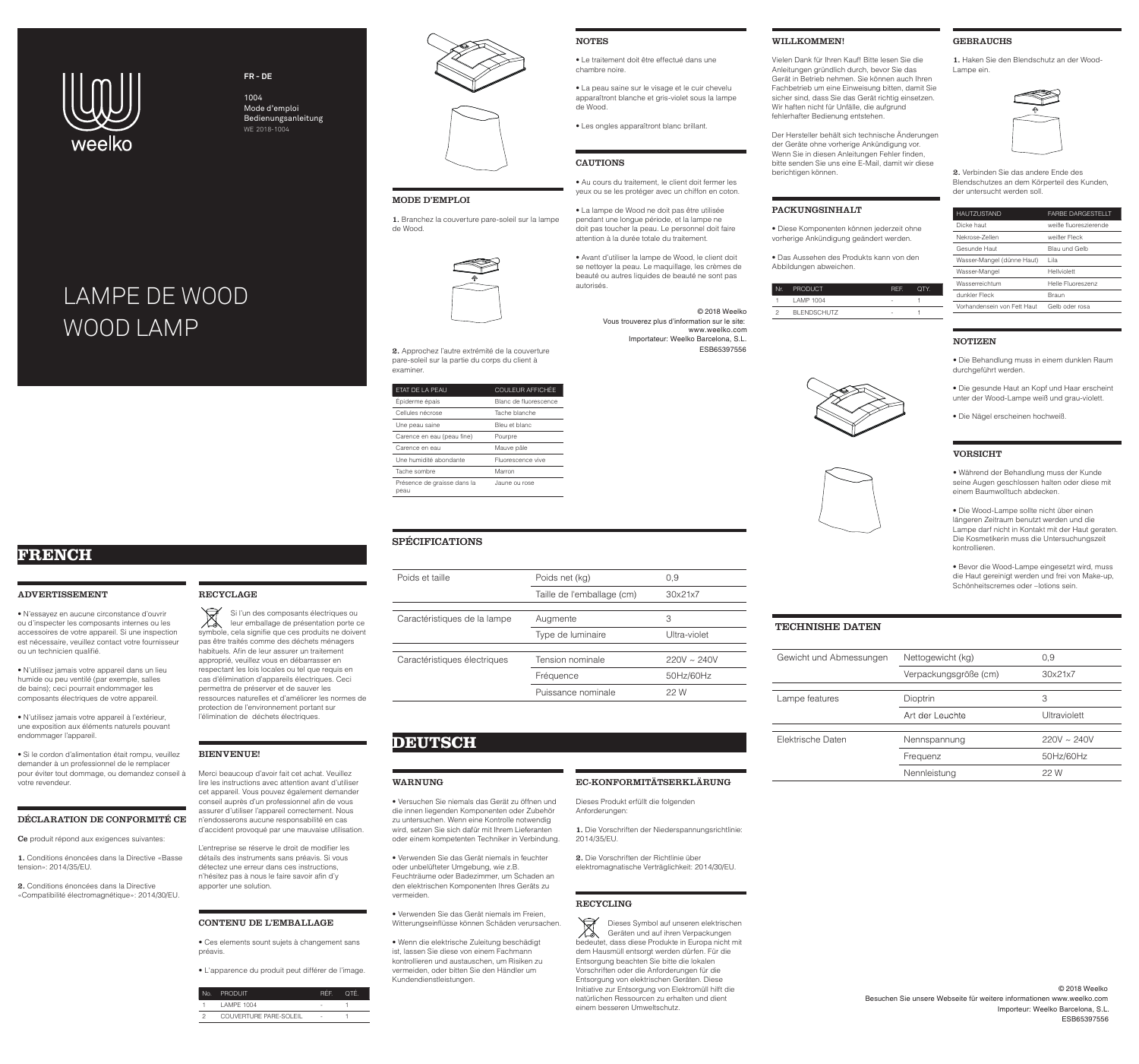#### TECHNISHE DATEN

| Gewicht und Abmessungen | Nettogewicht (kg)     | 0,9              |
|-------------------------|-----------------------|------------------|
|                         | Verpackungsgröße (cm) | 30x21x7          |
|                         |                       |                  |
| Lampe features          | Dioptrin              | З                |
|                         | Art der Leuchte       | Ultraviolett     |
|                         |                       |                  |
| Elektrische Daten       | Nennspannung          | $220V \sim 240V$ |
|                         | Frequenz              | 50Hz/60Hz        |
|                         | Nennleistung          | 22 W             |

#### ADVERTISSEMENT

• N'essayez en aucune circonstance d'ouvrir ou d'inspecter les composants internes ou les accessoires de votre appareil. Si une inspection est nécessaire, veuillez contact votre fournisseur ou un technicien qualifié.

• N'utilisez jamais votre appareil dans un lieu humide ou peu ventilé (par exemple, salles de bains); ceci pourrait endommager les composants électriques de votre appareil.

• N'utilisez jamais votre appareil à l'extérieur, une exposition aux éléments naturels pouvant endommager l'appareil.

• Si le cordon d'alimentation était rompu, veuillez demander à un professionnel de le remplacer pour éviter tout dommage, ou demandez conseil à votre revendeur.

#### DÉCLARATION DE CONFORMITÉ CE

Ce produit répond aux exigences suivantes:

1. Conditions énoncées dans la Directive «Basse tension»: 2014/35/EU.

2. Conditions énoncées dans la Directive «Compatibilité électromagnétique»: 2014/30/EU.

#### RECYCLAGE

### BIENVENUE!

Merci beaucoup d'avoir fait cet achat. Veuillez lire les instructions avec attention avant d'utiliser cet appareil. Vous pouvez également demander conseil auprès d'un professionnel afin de vous assurer d'utiliser l'appareil correctement. Nous n'endosserons aucune responsabilité en cas d'accident provoqué par une mauvaise utilisation.

L'entreprise se réserve le droit de modifier les détails des instruments sans préavis. Si vous détectez une erreur dans ces instructions, n'hésitez pas à nous le faire savoir afin d'y apporter une solution.

#### CONTENU DE L'EMBALLAGE

• Ces elements sount sujets à changement sans préavis.

• L'apparence du produit peut différer de l'image.

| No. I | Produit'                      | <b>REP</b> | OTF. |
|-------|-------------------------------|------------|------|
|       | LAMPE 1004                    |            |      |
|       | <b>COUVERTURE PARE-SOLEIL</b> | ٠          |      |

#### MODE D'EMPLOI

1. Branchez la couverture pare-soleil sur la lampe de Wood.



2. Approchez l'autre extrémité de la couverture pare-soleil sur la partie du corps du client à examiner.

| ETAT DE LA PEAU                     | <b>COULEUR AFFICHÉE</b> |
|-------------------------------------|-------------------------|
| Épiderme épais                      | Blanc de fluorescence   |
| Cellules nécrose                    | Tache blanche           |
| Une peau saine                      | Bleu et blanc           |
| Carence en eau (peau fine)          | Pourpre                 |
| Carence en eau                      | Mauve pâle              |
| Une humidité abondante              | Fluorescence vive       |
| Tache sombre                        | Marron                  |
| Présence de graisse dans la<br>peau | Jaune ou rose           |
|                                     |                         |

#### • Le traitement doit être effectué dans une chambre noire.

• La peau saine sur le visage et le cuir chevelu apparaîtront blanche et gris-violet sous la lampe de Wood.

• Les ongles apparaîtront blanc brillant.

#### CAUTIONS

**NOTES** 

• Au cours du traitement, le client doit fermer les yeux ou se les protéger avec un chiffon en coton.

• La lampe de Wood ne doit pas être utilisée pendant une longue période, et la lampe ne doit pas toucher la peau. Le personnel doit faire attention à la durée totale du traitement.

• Avant d'utiliser la lampe de Wood, le client doit se nettoyer la peau. Le maquillage, les crèmes de beauté ou autres liquides de beauté ne sont pas autorisés.

#### WARNUNG

• Versuchen Sie niemals das Gerät zu öffnen und die innen liegenden Komponenten oder Zubehör zu untersuchen. Wenn eine Kontrolle notwendig wird, setzen Sie sich dafür mit Ihrem Lieferanten oder einem kompetenten Techniker in Verbindung.

Si l'un des composants électriques ou<br>leur emballage de présentation porte ce leur emballage de présentation porte ce symbole, cela signifie que ces produits ne doivent pas être traités comme des déchets ménagers habituels. Afin de leur assurer un traitement approprié, veuillez vous en débarrasser en respectant les lois locales ou tel que requis en cas d'élimination d'appareils électriques. Ceci permettra de préserver et de sauver les ressources naturelles et d'améliorer les normes de protection de l'environnement portant sur l'élimination de déchets électriques.

> • Verwenden Sie das Gerät niemals in feuchter oder unbelüfteter Umgebung, wie z.B. Feuchträume oder Badezimmer, um Schaden an den elektrischen Komponenten Ihres Geräts zu vermeiden.

• Verwenden Sie das Gerät niemals im Freien, Witterungseinflüsse können Schäden verursachen.

Dieses Symbol auf unseren elektrischen Geräten und auf ihren Verpackungen bedeutet, dass diese Produkte in Europa nicht mit dem Hausmüll entsorgt werden dürfen. Für die Entsorgung beachten Sie bitte die lokalen Vorschriften oder die Anforderungen für die Entsorgung von elektrischen Geräten. Diese Initiative zur Entsorgung von Elektromüll hilft die natürlichen Ressourcen zu erhalten und dient einem besseren Umweltschutz.

• Wenn die elektrische Zuleitung beschädigt ist, lassen Sie diese von einem Fachmann kontrollieren und austauschen, um Risiken zu vermeiden, oder bitten Sie den Händler um Kundendienstleistungen.

#### EC-KONFORMITÄTSERKLÄRUNG

Dieses Produkt erfüllt die folgenden Anforderungen:

1. Die Vorschriften der Niederspannungsrichtlinie: 2014/35/EU.

2. Die Vorschriften der Richtlinie über

elektromagnatische Verträglichkeit: 2014/30/EU.

## RECYCLING

## WILLKOMMEN!

Vielen Dank für Ihren Kauf! Bitte lesen Sie die Anleitungen gründlich durch, bevor Sie das Gerät in Betrieb nehmen. Sie können auch Ihren Fachbetrieb um eine Einweisung bitten, damit Sie sicher sind, dass Sie das Gerät richtig einsetzen. Wir haften nicht für Unfälle, die aufgrund fehlerhafter Bedienung entstehen.

Der Hersteller behält sich technische Änderungen der Geräte ohne vorherige Ankündigung vor. Wenn Sie in diesen Anleitungen Fehler finden, bitte senden Sie uns eine E-Mail, damit wir diese berichtigen können.

Nr. PR

- 
- 
- 
- 
- 
- 
- - -
	- -
- 
- -

#### PACKUNGSINHALT

• Diese Komponenten können jederzeit ohne vorherige Ankündigung geändert werden.

• Das Aussehen des Produkts kann von den Abbildungen abweichen.

| Nr. | PRODUCT            | REF. | OTY. |
|-----|--------------------|------|------|
|     | LAMP 1004          | ۰    |      |
|     | <b>BLENDSCHUTZ</b> | ۰    |      |





#### GEBRAUCHS

1. Haken Sie den Blendschutz an der Wood-Lampe ein.



2. Verbinden Sie das andere Ende des Blendschutzes an dem Körperteil des Kunden, der untersucht werden soll.

| <b>FARBE DARGESTELLT</b> |
|--------------------------|
| weiße fluoreszierende    |
| weißer Fleck             |
| Blau und Gelb            |
| Lila                     |
| Hellviolett              |
| Helle Fluoreszenz        |
| Braun                    |
| Gelb oder rosa           |
|                          |

#### NOTIZEN

• Die Behandlung muss in einem dunklen Raum durchgeführt werden.

• Die gesunde Haut an Kopf und Haar erscheint unter der Wood-Lampe weiß und grau-violett.

• Die Nägel erscheinen hochweiß.

#### VORSICHT

• Während der Behandlung muss der Kunde seine Augen geschlossen halten oder diese mit einem Baumwolltuch abdecken.

• Die Wood-Lampe sollte nicht über einen längeren Zeitraum benutzt werden und die Lampe darf nicht in Kontakt mit der Haut geraten. Die Kosmetikerin muss die Untersuchungszeit kontrollieren.

• Bevor die Wood-Lampe eingesetzt wird, muss die Haut gereinigt werden und frei von Make-up, Schönheitscremes oder –lotions sein.

SPÉCIFICATIONS

| Poids et taille              | Poids net (kg)             | 0,9              |
|------------------------------|----------------------------|------------------|
|                              | Taille de l'emballage (cm) | 30x21x7          |
|                              |                            |                  |
| Caractéristiques de la lampe | Augmente                   | 3                |
|                              | Type de luminaire          | Ultra-violet     |
| Caractéristiques électriques | Tension nominale           | $220V \sim 240V$ |
|                              | Fréquence                  | 50Hz/60Hz        |
|                              | Puissance nominale         | 22 W             |
|                              |                            |                  |

# **DEUTSCH**

# **FRENCH**



### **FR - DE**

# WOOD LAMP LAMPE DE WOOD

1004 Mode d'emploi Bedienungsanleitung WE 2018-1004



 Vous trouverez plus d'information sur le site: www.weelko.com Importateur: Weelko Barcelona, S.L. © 2018 Weelko ESB65397556